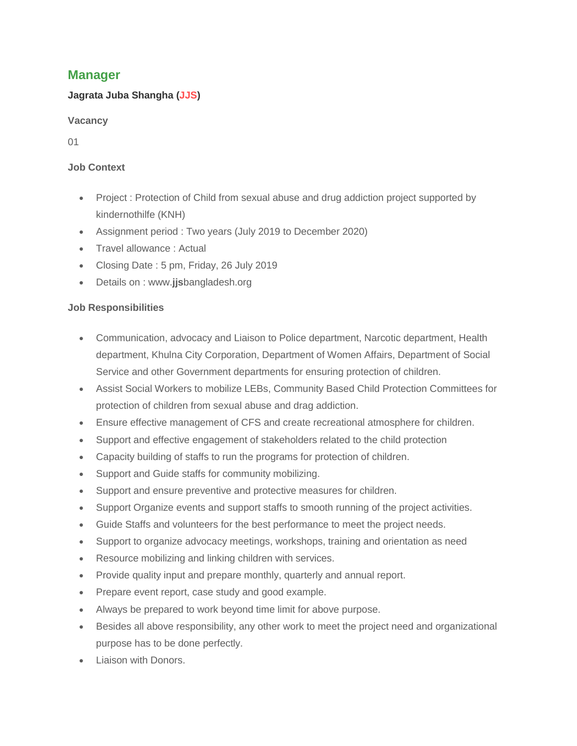# **Manager**

# **Jagrata Juba Shangha (JJS)**

## **Vacancy**

01

## **Job Context**

- Project : Protection of Child from sexual abuse and drug addiction project supported by kindernothilfe (KNH)
- Assignment period : Two years (July 2019 to December 2020)
- Travel allowance : Actual
- Closing Date : 5 pm, Friday, 26 July 2019
- Details on : www.**jjs**bangladesh.org

## **Job Responsibilities**

- Communication, advocacy and Liaison to Police department, Narcotic department, Health department, Khulna City Corporation, Department of Women Affairs, Department of Social Service and other Government departments for ensuring protection of children.
- Assist Social Workers to mobilize LEBs, Community Based Child Protection Committees for protection of children from sexual abuse and drag addiction.
- Ensure effective management of CFS and create recreational atmosphere for children.
- Support and effective engagement of stakeholders related to the child protection
- Capacity building of staffs to run the programs for protection of children.
- Support and Guide staffs for community mobilizing.
- Support and ensure preventive and protective measures for children.
- Support Organize events and support staffs to smooth running of the project activities.
- Guide Staffs and volunteers for the best performance to meet the project needs.
- Support to organize advocacy meetings, workshops, training and orientation as need
- Resource mobilizing and linking children with services.
- Provide quality input and prepare monthly, quarterly and annual report.
- Prepare event report, case study and good example.
- Always be prepared to work beyond time limit for above purpose.
- Besides all above responsibility, any other work to meet the project need and organizational purpose has to be done perfectly.
- Liaison with Donors.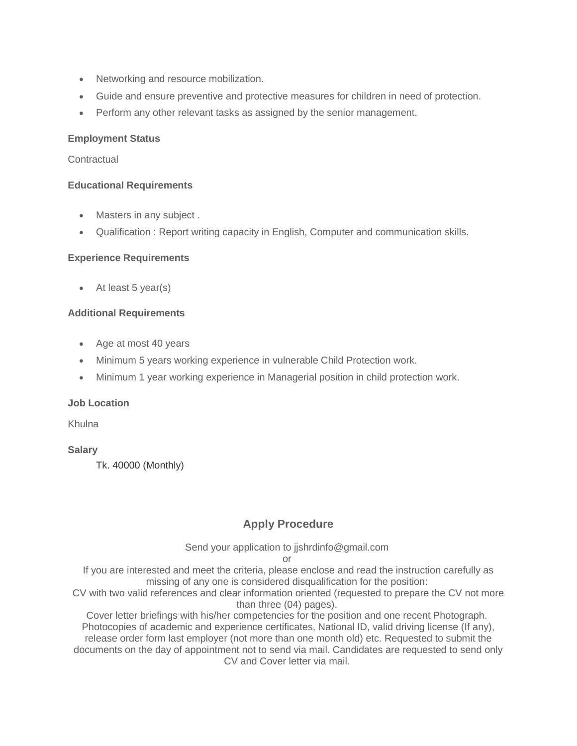- Networking and resource mobilization.
- Guide and ensure preventive and protective measures for children in need of protection.
- Perform any other relevant tasks as assigned by the senior management.

#### **Employment Status**

**Contractual** 

### **Educational Requirements**

- Masters in any subject .
- Qualification : Report writing capacity in English, Computer and communication skills.

### **Experience Requirements**

• At least 5 year(s)

### **Additional Requirements**

- Age at most 40 years
- Minimum 5 years working experience in vulnerable Child Protection work.
- Minimum 1 year working experience in Managerial position in child protection work.

#### **Job Location**

Khulna

#### **Salary**

Tk. 40000 (Monthly)

# **Apply Procedure**

Send your application to jjshrdinfo@gmail.com

or

If you are interested and meet the criteria, please enclose and read the instruction carefully as missing of any one is considered disqualification for the position:

CV with two valid references and clear information oriented (requested to prepare the CV not more than three (04) pages).

Cover letter briefings with his/her competencies for the position and one recent Photograph. Photocopies of academic and experience certificates, National ID, valid driving license (If any), release order form last employer (not more than one month old) etc. Requested to submit the documents on the day of appointment not to send via mail. Candidates are requested to send only CV and Cover letter via mail.